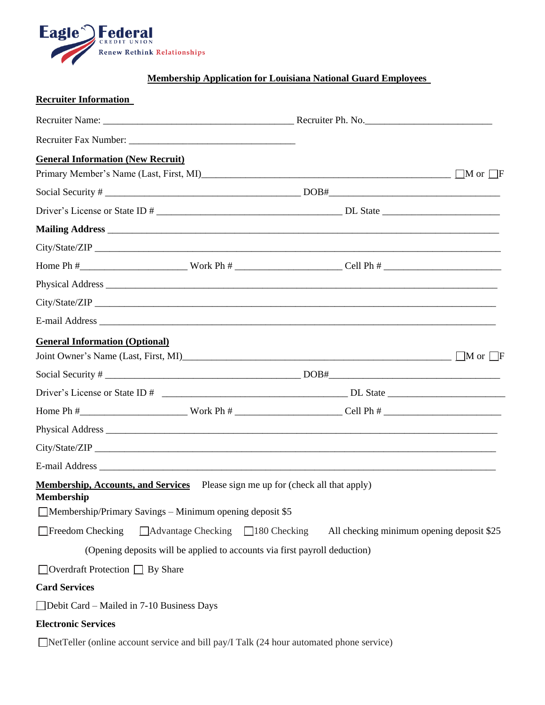

## **Membership Application for Louisiana National Guard Employees**

| <b>Recruiter Information</b>                                                                                                                                                   |                                               |                                                                                                                                                                                                                                      |  |
|--------------------------------------------------------------------------------------------------------------------------------------------------------------------------------|-----------------------------------------------|--------------------------------------------------------------------------------------------------------------------------------------------------------------------------------------------------------------------------------------|--|
|                                                                                                                                                                                |                                               |                                                                                                                                                                                                                                      |  |
|                                                                                                                                                                                |                                               |                                                                                                                                                                                                                                      |  |
| <b>General Information (New Recruit)</b>                                                                                                                                       |                                               |                                                                                                                                                                                                                                      |  |
|                                                                                                                                                                                |                                               |                                                                                                                                                                                                                                      |  |
|                                                                                                                                                                                |                                               |                                                                                                                                                                                                                                      |  |
|                                                                                                                                                                                |                                               |                                                                                                                                                                                                                                      |  |
|                                                                                                                                                                                |                                               | Mailing Address <b>contract to the contract of the contract of the contract of the contract of the contract of the contract of the contract of the contract of the contract of the contract of the contract of the contract of t</b> |  |
|                                                                                                                                                                                |                                               |                                                                                                                                                                                                                                      |  |
|                                                                                                                                                                                |                                               |                                                                                                                                                                                                                                      |  |
|                                                                                                                                                                                |                                               |                                                                                                                                                                                                                                      |  |
|                                                                                                                                                                                |                                               |                                                                                                                                                                                                                                      |  |
|                                                                                                                                                                                |                                               |                                                                                                                                                                                                                                      |  |
| <b>General Information (Optional)</b>                                                                                                                                          |                                               |                                                                                                                                                                                                                                      |  |
|                                                                                                                                                                                |                                               | Joint Owner's Name (Last, First, MI)                                                                                                                                                                                                 |  |
|                                                                                                                                                                                |                                               |                                                                                                                                                                                                                                      |  |
|                                                                                                                                                                                |                                               |                                                                                                                                                                                                                                      |  |
|                                                                                                                                                                                |                                               |                                                                                                                                                                                                                                      |  |
|                                                                                                                                                                                |                                               |                                                                                                                                                                                                                                      |  |
|                                                                                                                                                                                |                                               |                                                                                                                                                                                                                                      |  |
|                                                                                                                                                                                |                                               |                                                                                                                                                                                                                                      |  |
| <b>Membership, Accounts, and Services</b> Please sign me up for (check all that apply)<br><b>Membership</b><br>$\Box$ Membership/Primary Savings – Minimum opening deposit \$5 |                                               |                                                                                                                                                                                                                                      |  |
| $\Box$ Freedom Checking                                                                                                                                                        | $\Box$ Advantage Checking $\Box$ 180 Checking | All checking minimum opening deposit \$25                                                                                                                                                                                            |  |
|                                                                                                                                                                                |                                               | (Opening deposits will be applied to accounts via first payroll deduction)                                                                                                                                                           |  |
| $\Box$ Overdraft Protection $\Box$ By Share                                                                                                                                    |                                               |                                                                                                                                                                                                                                      |  |
| <b>Card Services</b>                                                                                                                                                           |                                               |                                                                                                                                                                                                                                      |  |
| □Debit Card – Mailed in 7-10 Business Days                                                                                                                                     |                                               |                                                                                                                                                                                                                                      |  |
| <b>Electronic Services</b>                                                                                                                                                     |                                               |                                                                                                                                                                                                                                      |  |
| $\Box$ NetTeller (online account service and bill pay/I Talk (24 hour automated phone service)                                                                                 |                                               |                                                                                                                                                                                                                                      |  |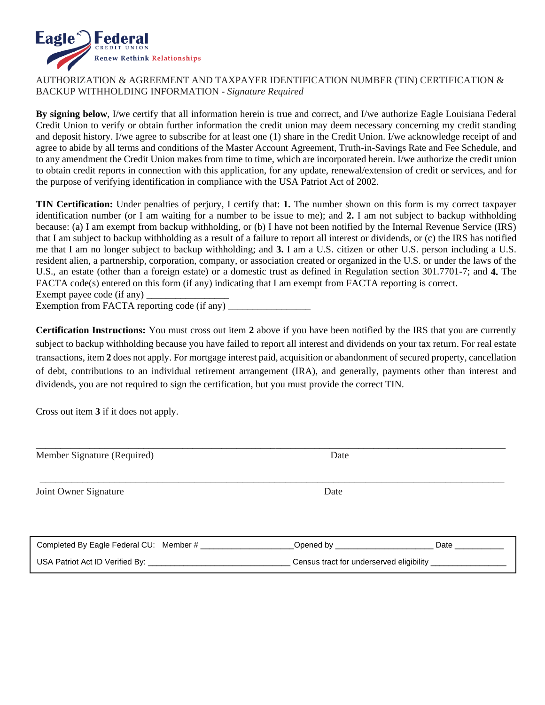

## AUTHORIZATION & AGREEMENT AND TAXPAYER IDENTIFICATION NUMBER (TIN) CERTIFICATION & BACKUP WITHHOLDING INFORMATION - *Signature Required*

**By signing below**, I/we certify that all information herein is true and correct, and I/we authorize Eagle Louisiana Federal Credit Union to verify or obtain further information the credit union may deem necessary concerning my credit standing and deposit history. I/we agree to subscribe for at least one (1) share in the Credit Union. I/we acknowledge receipt of and agree to abide by all terms and conditions of the Master Account Agreement, Truth-in-Savings Rate and Fee Schedule, and to any amendment the Credit Union makes from time to time, which are incorporated herein. I/we authorize the credit union to obtain credit reports in connection with this application, for any update, renewal/extension of credit or services, and for the purpose of verifying identification in compliance with the USA Patriot Act of 2002.

**TIN Certification:** Under penalties of perjury, I certify that: **1.** The number shown on this form is my correct taxpayer identification number (or I am waiting for a number to be issue to me); and **2.** I am not subject to backup withholding because: (a) I am exempt from backup withholding, or (b) I have not been notified by the Internal Revenue Service (IRS) that I am subject to backup withholding as a result of a failure to report all interest or dividends, or (c) the IRS has notified me that I am no longer subject to backup withholding; and **3.** I am a U.S. citizen or other U.S. person including a U.S. resident alien, a partnership, corporation, company, or association created or organized in the U.S. or under the laws of the U.S., an estate (other than a foreign estate) or a domestic trust as defined in Regulation section 301.7701-7; and **4.** The FACTA code(s) entered on this form (if any) indicating that I am exempt from FACTA reporting is correct.

Exempt payee code (if any)  $\overline{\phantom{a}}$ 

Exemption from FACTA reporting code (if any)

**Certification Instructions:** You must cross out item 2 above if you have been notified by the IRS that you are currently subject to backup withholding because you have failed to report all interest and dividends on your tax return. For real estate transactions, item **2** does not apply. For mortgage interest paid, acquisition or abandonment of secured property, cancellation of debt, contributions to an individual retirement arrangement (IRA), and generally, payments other than interest and dividends, you are not required to sign the certification, but you must provide the correct TIN.

Cross out item **3** if it does not apply.

| Member Signature (Required)                         | Date                                                       |                  |
|-----------------------------------------------------|------------------------------------------------------------|------------------|
| Joint Owner Signature                               | Date                                                       |                  |
|                                                     |                                                            |                  |
| Completed By Eagle Federal CU: Member # ___________ | _Opened by __________________                              | <b>Date Date</b> |
|                                                     | Census tract for underserved eligibility _________________ |                  |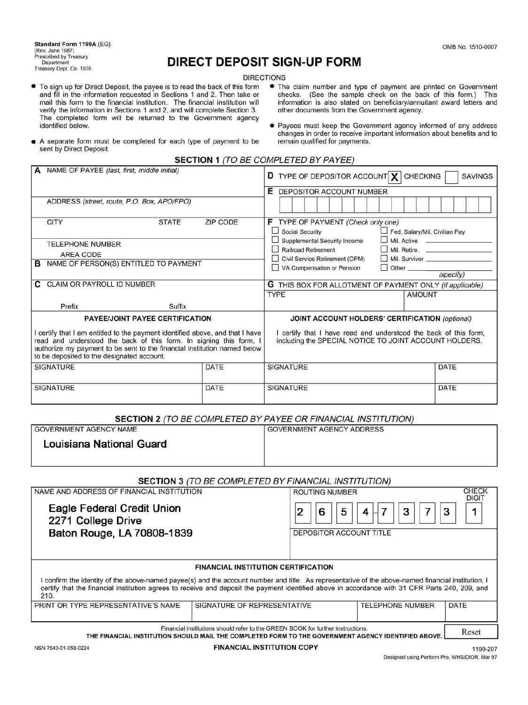Standard Form 1199A (EG) (Rev. June 1987) Prescribed by Treasury Department<br>Treasury Dept. Cir. 1076

# **DIRECT DEPOSIT SIGN-UP FORM**

#### **DIRECTIONS**

- To sign up for Direct Deposit, the payee is to read the back of this form and fill in the information requested in Sections 1 and 2. Then take or mail this form to the financial institution. The financial institution will verify the information in Sections 1 and 2, and will complete Section 3. The completed form will be returned to the Government agency identified below.
- The claim number and type of payment are printed on Government checks. (See the sample check on the back of this form.) This information is also stated on beneficiary/annuitant award letters and other documents from the Government agency.
- Payees must keep the Government agency informed of any address changes in order to receive important information about benefits and to remain qualified for payments.
- A separate form must be completed for each type of payment to be sent by Direct Deposit.

| <b>SECTION 1 (TO BE COMPLETED BY PAYEE)</b> |  |
|---------------------------------------------|--|
|                                             |  |

| NAME OF PAYEE (last, first, middle initial)                                                                                                                                                                                                                                 |                 | <b>D</b> TYPE OF DEPOSITOR ACCOUNT $\chi$ CHECKING                                                                         | <b>SAVINGS</b>                |
|-----------------------------------------------------------------------------------------------------------------------------------------------------------------------------------------------------------------------------------------------------------------------------|-----------------|----------------------------------------------------------------------------------------------------------------------------|-------------------------------|
| ADDRESS (street, route, P.O. Box, APO/FPO)                                                                                                                                                                                                                                  |                 | Е<br>DEPOSITOR ACCOUNT NUMBER                                                                                              |                               |
| <b>CITY</b><br><b>STATE</b>                                                                                                                                                                                                                                                 | <b>ZIP CODE</b> | TYPE OF PAYMENT (Check only one)<br>F<br><b>Social Security</b>                                                            | Fed. Salary/Mil. Civilian Pay |
| <b>TELEPHONE NUMBER</b><br>AREA CODE                                                                                                                                                                                                                                        |                 | Supplemental Security Income<br><b>Railroad Retirement</b>                                                                 | Mil. Retire.                  |
| NAME OF PERSON(S) ENTITLED TO PAYMENT<br>в                                                                                                                                                                                                                                  |                 | Civil Service Retirement (OPM)                                                                                             | Mil. Survivor                 |
|                                                                                                                                                                                                                                                                             |                 | VA Compensation or Pension                                                                                                 | $\Box$ Other<br>(specify)     |
| CLAIM OR PAYROLL ID NUMBER<br>C.                                                                                                                                                                                                                                            |                 | G THIS BOX FOR ALLOTMENT OF PAYMENT ONLY (if applicable)                                                                   |                               |
|                                                                                                                                                                                                                                                                             |                 | TYPE                                                                                                                       | <b>AMOUNT</b>                 |
| Prefix<br>Suffix                                                                                                                                                                                                                                                            |                 |                                                                                                                            |                               |
| PAYEE/JOINT PAYEE CERTIFICATION                                                                                                                                                                                                                                             |                 | <b>JOINT ACCOUNT HOLDERS' CERTIFICATION (optional)</b>                                                                     |                               |
| certify that I am entitled to the payment identified above, and that I have<br>read and understood the back of this form. In signing this form, I<br>authorize my payment to be sent to the financial institution named below<br>to be deposited to the designated account. |                 | I certify that I have read and understood the back of this form,<br>including the SPECIAL NOTICE TO JOINT ACCOUNT HOLDERS. |                               |
| <b>SIGNATURE</b>                                                                                                                                                                                                                                                            | DATE            | <b>SIGNATURE</b>                                                                                                           | DATE                          |
| <b>SIGNATURE</b>                                                                                                                                                                                                                                                            | DATE            | <b>SIGNATURE</b>                                                                                                           | DATE                          |

#### **SECTION 2** (TO BE COMPLETED BY PAYEE OR FINANCIAL INSTITUTION)

| <b>GOVERNMENT AGENCY NAME</b> |  |
|-------------------------------|--|
|                               |  |

**GOVERNMENT AGENCY ADDRESS** 

|  | Louisiana National Guard |  |
|--|--------------------------|--|
|  |                          |  |

| ard |  |
|-----|--|
|     |  |

| <b>SECTION 3 (TO BE COMPLETED BY FINANCIAL INSTITUTION)</b> |  |  |
|-------------------------------------------------------------|--|--|
|                                                             |  |  |

| NAME AND ADDRESS OF FINANCIAL INSTITUTION<br>Eagle Federal Credit Union<br>2271 College Drive |                                                                                 | <b>ROUTING NUMBER</b><br>5<br>6<br>3<br>2<br>4                                                                                                                                                                                                                                                        | <b>CHECK</b><br><b>DIGIT</b><br>3 |
|-----------------------------------------------------------------------------------------------|---------------------------------------------------------------------------------|-------------------------------------------------------------------------------------------------------------------------------------------------------------------------------------------------------------------------------------------------------------------------------------------------------|-----------------------------------|
| Baton Rouge, LA 70808-1839                                                                    |                                                                                 | DEPOSITOR ACCOUNT TITLE                                                                                                                                                                                                                                                                               |                                   |
| 210.                                                                                          | <b>FINANCIAL INSTITUTION CERTIFICATION</b>                                      | I confirm the identity of the above-named payee(s) and the account number and title. As representative of the above-named financial institution, I<br>certify that the financial institution agrees to receive and deposit the payment identified above in accordance with 31 CFR Parts 240, 209, and |                                   |
| PRINT OR TYPE REPRESENTATIVE'S NAME                                                           | SIGNATURE OF REPRESENTATIVE                                                     | <b>TELEPHONE NUMBER</b>                                                                                                                                                                                                                                                                               | DATE                              |
| THE FINANCIAL INCTITUTION                                                                     | Financial institutions should refer to the GREEN BOOK for further instructions. | AUAUL B MAIL TUF AAMBLETEB FABM TA TUF AAVEBUMENT AAFNAV IBENTIFIEB ABAVE                                                                                                                                                                                                                             | Reset                             |

THE FINANCIAL INSTITUTION SHOULD MAIL THE COMPLETED FORM TO THE GOVERNMENT AGENCY IDENTIFIED ABOVE.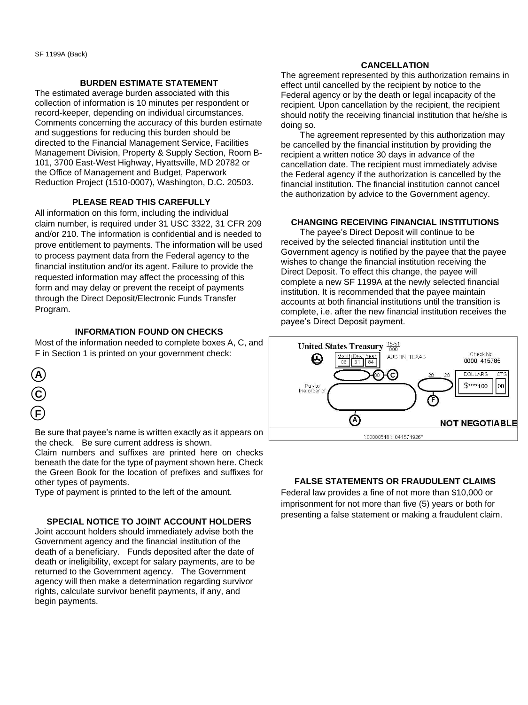#### **BURDEN ESTIMATE STATEMENT**

The estimated average burden associated with this collection of information is 10 minutes per respondent or record-keeper, depending on individual circumstances. Comments concerning the accuracy of this burden estimate and suggestions for reducing this burden should be directed to the Financial Management Service, Facilities Management Division, Property & Supply Section, Room B-101, 3700 East-West Highway, Hyattsville, MD 20782 or the Office of Management and Budget, Paperwork Reduction Project (1510-0007), Washington, D.C. 20503.

#### **PLEASE READ THIS CAREFULLY**

All information on this form, including the individual claim number, is required under 31 USC 3322, 31 CFR 209 and/or 210. The information is confidential and is needed to prove entitlement to payments. The information will be used to process payment data from the Federal agency to the financial institution and/or its agent. Failure to provide the requested information may affect the processing of this form and may delay or prevent the receipt of payments through the Direct Deposit/Electronic Funds Transfer Program.

### **INFORMATION FOUND ON CHECKS**

Most of the information needed to complete boxes A, C, and F in Section 1 is printed on your government check:



Be sure that payee's name is written exactly as it appears on the check. Be sure current address is shown.

Claim numbers and suffixes are printed here on checks beneath the date for the type of payment shown here. Check the Green Book for the location of prefixes and suffixes for other types of payments.

Type of payment is printed to the left of the amount.

#### **SPECIAL NOTICE TO JOINT ACCOUNT HOLDERS**

Joint account holders should immediately advise both the Government agency and the financial institution of the death of a beneficiary. Funds deposited after the date of death or ineligibility, except for salary payments, are to be returned to the Government agency. The Government agency will then make a determination regarding survivor rights, calculate survivor benefit payments, if any, and begin payments.

#### **CANCELLATION**

The agreement represented by this authorization remains in effect until cancelled by the recipient by notice to the Federal agency or by the death or legal incapacity of the recipient. Upon cancellation by the recipient, the recipient should notify the receiving financial institution that he/she is doing so.

 The agreement represented by this authorization may be cancelled by the financial institution by providing the recipient a written notice 30 days in advance of the cancellation date. The recipient must immediately advise the Federal agency if the authorization is cancelled by the financial institution. The financial institution cannot cancel the authorization by advice to the Government agency.

#### **CHANGING RECEIVING FINANCIAL INSTITUTIONS**

 The payee's Direct Deposit will continue to be received by the selected financial institution until the Government agency is notified by the payee that the payee wishes to change the financial institution receiving the Direct Deposit. To effect this change, the payee will complete a new SF 1199A at the newly selected financial institution. It is recommended that the payee maintain accounts at both financial institutions until the transition is complete, i.e. after the new financial institution receives the payee's Direct Deposit payment.



## **FALSE STATEMENTS OR FRAUDULENT CLAIMS**

Federal law provides a fine of not more than \$10,000 or imprisonment for not more than five (5) years or both for presenting a false statement or making a fraudulent claim.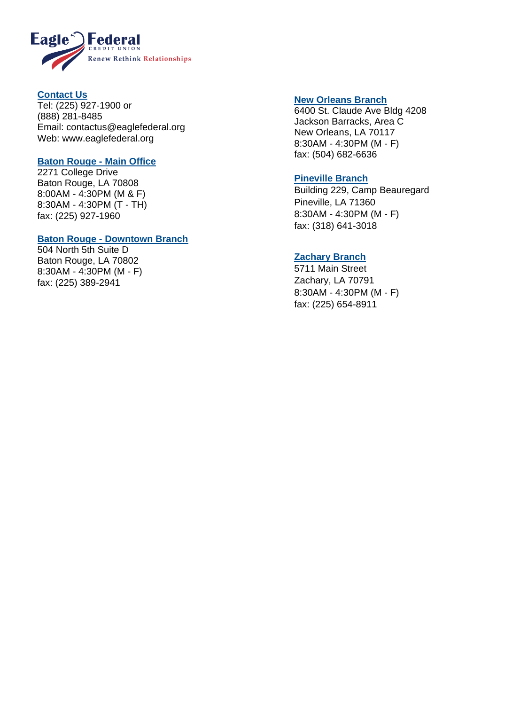

## **Contact Us**

Tel: (225) 927 -1900 or (888) 281 -8485 Email: [contactus@eaglefederal.org](mailto:contactus@eaglefederal.org) Web: www.eaglefederal.org

## **Baton Rouge - Main Office**

2271 College Drive Baton Rouge, LA 70808 8:00AM - 4:30PM (M & F) 8:30AM - 4:30PM (T - TH) fax: (225) 927 -1960

## **Baton Rouge - Downtown Branch**

504 North 5th Suite D Baton Rouge, LA 70802 8:30AM - 4:30PM (M - F) fax: (225) 389 -2941

## **New Orleans Branch**

6400 St. Claude Ave Bldg 4208 Jackson Barracks, Area C New Orleans, LA 70117 8:30AM - 4:30PM (M - F) fax: (504) 682 -6636

## **Pineville Branch**

Building 229, Camp Beauregard Pineville, LA 71360 8:30AM - 4:30PM (M - F) fax: (318) 641 -3018

## **Zachary Branch**

5711 Main Street Zachary, LA 70791 8:30AM - 4:30PM (M - F) fax: (225) 654 -8911